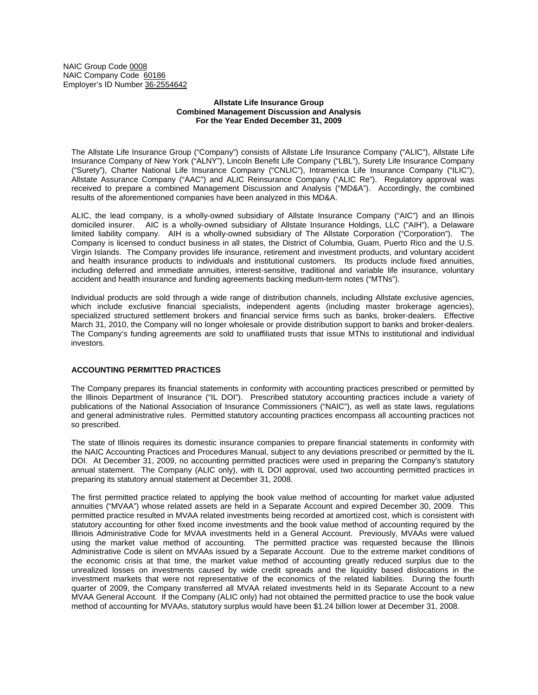NAIC Group Code 0008 NAIC Company Code 60186 Employer's ID Number 36-2554642

# **Allstate Life Insurance Group Combined Management Discussion and Analysis For the Year Ended December 31, 2009**

The Allstate Life Insurance Group ("Company") consists of Allstate Life Insurance Company ("ALIC"), Allstate Life Insurance Company of New York ("ALNY"), Lincoln Benefit Life Company ("LBL"), Surety Life Insurance Company ("Surety"), Charter National Life Insurance Company ("CNLIC"), Intramerica Life Insurance Company ("ILIC"), Allstate Assurance Company ("AAC") and ALIC Reinsurance Company ("ALIC Re"). Regulatory approval was received to prepare a combined Management Discussion and Analysis ("MD&A"). Accordingly, the combined results of the aforementioned companies have been analyzed in this MD&A.

ALIC, the lead company, is a wholly-owned subsidiary of Allstate Insurance Company ("AIC") and an Illinois domiciled insurer. AIC is a wholly-owned subsidiary of Allstate Insurance Holdings, LLC ("AIH"), a Delaware limited liability company. AIH is a wholly-owned subsidiary of The Allstate Corporation ("Corporation"). The Company is licensed to conduct business in all states, the District of Columbia, Guam, Puerto Rico and the U.S. Virgin Islands. The Company provides life insurance, retirement and investment products, and voluntary accident and health insurance products to individuals and institutional customers. Its products include fixed annuities, including deferred and immediate annuities, interest-sensitive, traditional and variable life insurance, voluntary accident and health insurance and funding agreements backing medium-term notes ("MTNs").

Individual products are sold through a wide range of distribution channels, including Allstate exclusive agencies, which include exclusive financial specialists, independent agents (including master brokerage agencies), specialized structured settlement brokers and financial service firms such as banks, broker-dealers. Effective March 31, 2010, the Company will no longer wholesale or provide distribution support to banks and broker-dealers. The Company's funding agreements are sold to unaffiliated trusts that issue MTNs to institutional and individual investors.

# **ACCOUNTING PERMITTED PRACTICES**

The Company prepares its financial statements in conformity with accounting practices prescribed or permitted by the Illinois Department of Insurance ("IL DOI"). Prescribed statutory accounting practices include a variety of publications of the National Association of Insurance Commissioners ("NAIC"), as well as state laws, regulations and general administrative rules. Permitted statutory accounting practices encompass all accounting practices not so prescribed.

The state of Illinois requires its domestic insurance companies to prepare financial statements in conformity with the NAIC Accounting Practices and Procedures Manual, subject to any deviations prescribed or permitted by the IL DOI. At December 31, 2009, no accounting permitted practices were used in preparing the Company's statutory annual statement. The Company (ALIC only), with IL DOI approval, used two accounting permitted practices in preparing its statutory annual statement at December 31, 2008.

The first permitted practice related to applying the book value method of accounting for market value adjusted annuities ("MVAA") whose related assets are held in a Separate Account and expired December 30, 2009. This permitted practice resulted in MVAA related investments being recorded at amortized cost, which is consistent with statutory accounting for other fixed income investments and the book value method of accounting required by the Illinois Administrative Code for MVAA investments held in a General Account. Previously, MVAAs were valued using the market value method of accounting. The permitted practice was requested because the Illinois Administrative Code is silent on MVAAs issued by a Separate Account. Due to the extreme market conditions of the economic crisis at that time, the market value method of accounting greatly reduced surplus due to the unrealized losses on investments caused by wide credit spreads and the liquidity based dislocations in the investment markets that were not representative of the economics of the related liabilities. During the fourth quarter of 2009, the Company transferred all MVAA related investments held in its Separate Account to a new MVAA General Account. If the Company (ALIC only) had not obtained the permitted practice to use the book value method of accounting for MVAAs, statutory surplus would have been \$1.24 billion lower at December 31, 2008.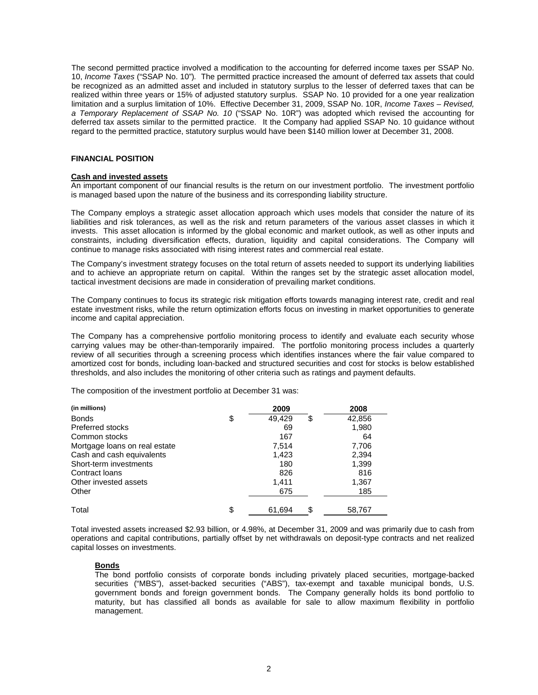The second permitted practice involved a modification to the accounting for deferred income taxes per SSAP No. 10, *Income Taxes* ("SSAP No. 10")*.* The permitted practice increased the amount of deferred tax assets that could be recognized as an admitted asset and included in statutory surplus to the lesser of deferred taxes that can be realized within three years or 15% of adjusted statutory surplus. SSAP No. 10 provided for a one year realization limitation and a surplus limitation of 10%. Effective December 31, 2009, SSAP No. 10R, *Income Taxes – Revised, a Temporary Replacement of SSAP No. 10* ("SSAP No. 10R") was adopted which revised the accounting for deferred tax assets similar to the permitted practice. It the Company had applied SSAP No. 10 guidance without regard to the permitted practice, statutory surplus would have been \$140 million lower at December 31, 2008.

# **FINANCIAL POSITION**

## **Cash and invested assets**

An important component of our financial results is the return on our investment portfolio. The investment portfolio is managed based upon the nature of the business and its corresponding liability structure.

The Company employs a strategic asset allocation approach which uses models that consider the nature of its liabilities and risk tolerances, as well as the risk and return parameters of the various asset classes in which it invests. This asset allocation is informed by the global economic and market outlook, as well as other inputs and constraints, including diversification effects, duration, liquidity and capital considerations. The Company will continue to manage risks associated with rising interest rates and commercial real estate.

The Company's investment strategy focuses on the total return of assets needed to support its underlying liabilities and to achieve an appropriate return on capital. Within the ranges set by the strategic asset allocation model, tactical investment decisions are made in consideration of prevailing market conditions.

The Company continues to focus its strategic risk mitigation efforts towards managing interest rate, credit and real estate investment risks, while the return optimization efforts focus on investing in market opportunities to generate income and capital appreciation.

The Company has a comprehensive portfolio monitoring process to identify and evaluate each security whose carrying values may be other-than-temporarily impaired. The portfolio monitoring process includes a quarterly review of all securities through a screening process which identifies instances where the fair value compared to amortized cost for bonds, including loan-backed and structured securities and cost for stocks is below established thresholds, and also includes the monitoring of other criteria such as ratings and payment defaults.

| (in millions)                 | 2009               | 2008   |
|-------------------------------|--------------------|--------|
| <b>Bonds</b>                  | \$<br>49,429<br>\$ | 42,856 |
| Preferred stocks              | 69                 | 1,980  |
| Common stocks                 | 167                | 64     |
| Mortgage loans on real estate | 7,514              | 7,706  |
| Cash and cash equivalents     | 1,423              | 2,394  |
| Short-term investments        | 180                | 1,399  |
| Contract loans                | 826                | 816    |
| Other invested assets         | 1,411              | 1,367  |
| Other                         | 675                | 185    |
|                               |                    |        |
| Total                         | \$<br>\$<br>61.694 | 58,767 |

The composition of the investment portfolio at December 31 was:

Total invested assets increased \$2.93 billion, or 4.98%, at December 31, 2009 and was primarily due to cash from operations and capital contributions, partially offset by net withdrawals on deposit-type contracts and net realized capital losses on investments.

# **Bonds**

The bond portfolio consists of corporate bonds including privately placed securities, mortgage-backed securities ("MBS"), asset-backed securities ("ABS"), tax-exempt and taxable municipal bonds, U.S. government bonds and foreign government bonds. The Company generally holds its bond portfolio to maturity, but has classified all bonds as available for sale to allow maximum flexibility in portfolio management.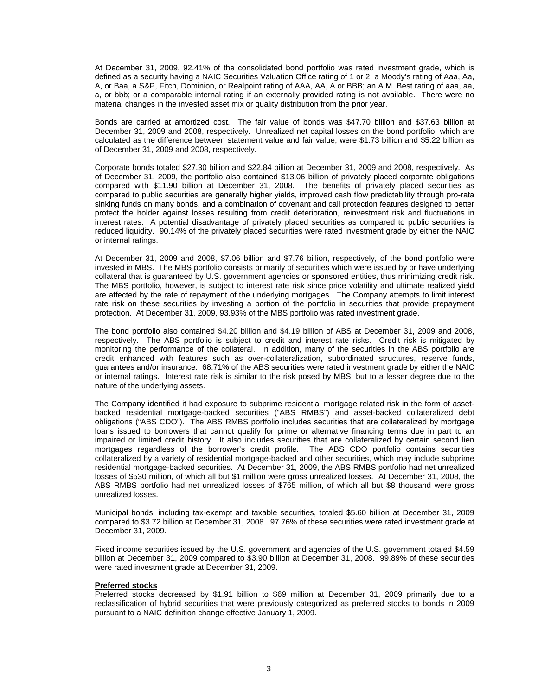At December 31, 2009, 92.41% of the consolidated bond portfolio was rated investment grade, which is defined as a security having a NAIC Securities Valuation Office rating of 1 or 2; a Moody's rating of Aaa, Aa, A, or Baa, a S&P, Fitch, Dominion, or Realpoint rating of AAA, AA, A or BBB; an A.M. Best rating of aaa, aa, a, or bbb; or a comparable internal rating if an externally provided rating is not available. There were no material changes in the invested asset mix or quality distribution from the prior year.

Bonds are carried at amortized cost. The fair value of bonds was \$47.70 billion and \$37.63 billion at December 31, 2009 and 2008, respectively. Unrealized net capital losses on the bond portfolio, which are calculated as the difference between statement value and fair value, were \$1.73 billion and \$5.22 billion as of December 31, 2009 and 2008, respectively.

Corporate bonds totaled \$27.30 billion and \$22.84 billion at December 31, 2009 and 2008, respectively. As of December 31, 2009, the portfolio also contained \$13.06 billion of privately placed corporate obligations compared with \$11.90 billion at December 31, 2008. The benefits of privately placed securities as compared to public securities are generally higher yields, improved cash flow predictability through pro-rata sinking funds on many bonds, and a combination of covenant and call protection features designed to better protect the holder against losses resulting from credit deterioration, reinvestment risk and fluctuations in interest rates. A potential disadvantage of privately placed securities as compared to public securities is reduced liquidity. 90.14% of the privately placed securities were rated investment grade by either the NAIC or internal ratings.

At December 31, 2009 and 2008, \$7.06 billion and \$7.76 billion, respectively, of the bond portfolio were invested in MBS. The MBS portfolio consists primarily of securities which were issued by or have underlying collateral that is guaranteed by U.S. government agencies or sponsored entities, thus minimizing credit risk. The MBS portfolio, however, is subject to interest rate risk since price volatility and ultimate realized yield are affected by the rate of repayment of the underlying mortgages. The Company attempts to limit interest rate risk on these securities by investing a portion of the portfolio in securities that provide prepayment protection. At December 31, 2009, 93.93% of the MBS portfolio was rated investment grade.

The bond portfolio also contained \$4.20 billion and \$4.19 billion of ABS at December 31, 2009 and 2008, respectively. The ABS portfolio is subject to credit and interest rate risks. Credit risk is mitigated by monitoring the performance of the collateral. In addition, many of the securities in the ABS portfolio are credit enhanced with features such as over-collateralization, subordinated structures, reserve funds, guarantees and/or insurance. 68.71% of the ABS securities were rated investment grade by either the NAIC or internal ratings. Interest rate risk is similar to the risk posed by MBS, but to a lesser degree due to the nature of the underlying assets.

The Company identified it had exposure to subprime residential mortgage related risk in the form of assetbacked residential mortgage-backed securities ("ABS RMBS") and asset-backed collateralized debt obligations ("ABS CDO"). The ABS RMBS portfolio includes securities that are collateralized by mortgage loans issued to borrowers that cannot qualify for prime or alternative financing terms due in part to an impaired or limited credit history. It also includes securities that are collateralized by certain second lien mortgages regardless of the borrower's credit profile. The ABS CDO portfolio contains securities collateralized by a variety of residential mortgage-backed and other securities, which may include subprime residential mortgage-backed securities. At December 31, 2009, the ABS RMBS portfolio had net unrealized losses of \$530 million, of which all but \$1 million were gross unrealized losses. At December 31, 2008, the ABS RMBS portfolio had net unrealized losses of \$765 million, of which all but \$8 thousand were gross unrealized losses.

Municipal bonds, including tax-exempt and taxable securities, totaled \$5.60 billion at December 31, 2009 compared to \$3.72 billion at December 31, 2008. 97.76% of these securities were rated investment grade at December 31, 2009.

Fixed income securities issued by the U.S. government and agencies of the U.S. government totaled \$4.59 billion at December 31, 2009 compared to \$3.90 billion at December 31, 2008. 99.89% of these securities were rated investment grade at December 31, 2009.

## **Preferred stocks**

Preferred stocks decreased by \$1.91 billion to \$69 million at December 31, 2009 primarily due to a reclassification of hybrid securities that were previously categorized as preferred stocks to bonds in 2009 pursuant to a NAIC definition change effective January 1, 2009.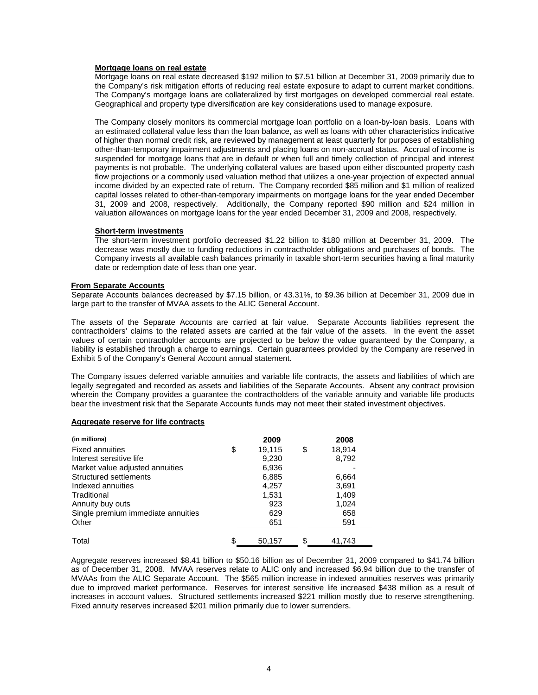## **Mortgage loans on real estate**

Mortgage loans on real estate decreased \$192 million to \$7.51 billion at December 31, 2009 primarily due to the Company's risk mitigation efforts of reducing real estate exposure to adapt to current market conditions. The Company's mortgage loans are collateralized by first mortgages on developed commercial real estate. Geographical and property type diversification are key considerations used to manage exposure.

The Company closely monitors its commercial mortgage loan portfolio on a loan-by-loan basis. Loans with an estimated collateral value less than the loan balance, as well as loans with other characteristics indicative of higher than normal credit risk, are reviewed by management at least quarterly for purposes of establishing other-than-temporary impairment adjustments and placing loans on non-accrual status. Accrual of income is suspended for mortgage loans that are in default or when full and timely collection of principal and interest payments is not probable. The underlying collateral values are based upon either discounted property cash flow projections or a commonly used valuation method that utilizes a one-year projection of expected annual income divided by an expected rate of return. The Company recorded \$85 million and \$1 million of realized capital losses related to other-than-temporary impairments on mortgage loans for the year ended December 31, 2009 and 2008, respectively. Additionally, the Company reported \$90 million and \$24 million in valuation allowances on mortgage loans for the year ended December 31, 2009 and 2008, respectively.

#### **Short-term investments**

The short-term investment portfolio decreased \$1.22 billion to \$180 million at December 31, 2009. The decrease was mostly due to funding reductions in contractholder obligations and purchases of bonds. The Company invests all available cash balances primarily in taxable short-term securities having a final maturity date or redemption date of less than one year.

# **From Separate Accounts**

Separate Accounts balances decreased by \$7.15 billion, or 43.31%, to \$9.36 billion at December 31, 2009 due in large part to the transfer of MVAA assets to the ALIC General Account.

The assets of the Separate Accounts are carried at fair value. Separate Accounts liabilities represent the contractholders' claims to the related assets are carried at the fair value of the assets. In the event the asset values of certain contractholder accounts are projected to be below the value guaranteed by the Company, a liability is established through a charge to earnings. Certain guarantees provided by the Company are reserved in Exhibit 5 of the Company's General Account annual statement.

The Company issues deferred variable annuities and variable life contracts, the assets and liabilities of which are legally segregated and recorded as assets and liabilities of the Separate Accounts. Absent any contract provision wherein the Company provides a guarantee the contractholders of the variable annuity and variable life products bear the investment risk that the Separate Accounts funds may not meet their stated investment objectives.

## **Aggregate reserve for life contracts**

| (in millions)                      | 2009         | 2008         |
|------------------------------------|--------------|--------------|
| <b>Fixed annuities</b>             | \$<br>19.115 | \$<br>18,914 |
| Interest sensitive life            | 9,230        | 8,792        |
| Market value adjusted annuities    | 6,936        |              |
| Structured settlements             | 6,885        | 6,664        |
| Indexed annuities                  | 4,257        | 3,691        |
| Traditional                        | 1.531        | 1,409        |
| Annuity buy outs                   | 923          | 1,024        |
| Single premium immediate annuities | 629          | 658          |
| Other                              | 651          | 591          |
|                                    |              |              |
| Total                              | \$<br>50,157 | \$<br>41,743 |

Aggregate reserves increased \$8.41 billion to \$50.16 billion as of December 31, 2009 compared to \$41.74 billion as of December 31, 2008. MVAA reserves relate to ALIC only and increased \$6.94 billion due to the transfer of MVAAs from the ALIC Separate Account. The \$565 million increase in indexed annuities reserves was primarily due to improved market performance. Reserves for interest sensitive life increased \$438 million as a result of increases in account values. Structured settlements increased \$221 million mostly due to reserve strengthening. Fixed annuity reserves increased \$201 million primarily due to lower surrenders.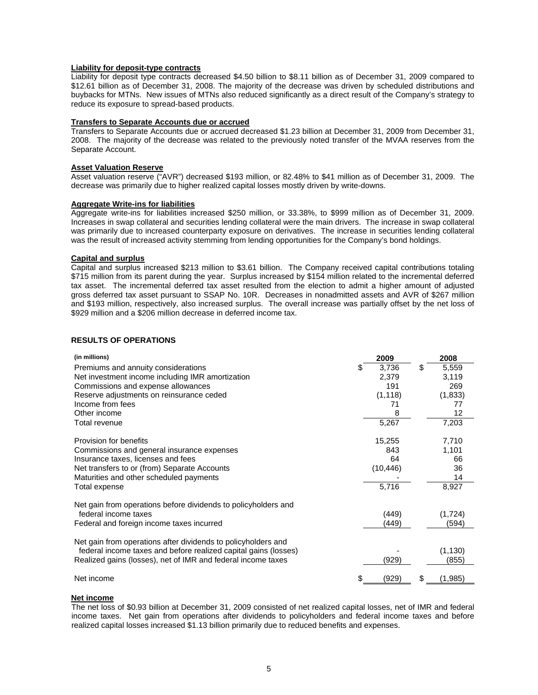# **Liability for deposit-type contracts**

Liability for deposit type contracts decreased \$4.50 billion to \$8.11 billion as of December 31, 2009 compared to \$12.61 billion as of December 31, 2008. The majority of the decrease was driven by scheduled distributions and buybacks for MTNs. New issues of MTNs also reduced significantly as a direct result of the Company's strategy to reduce its exposure to spread-based products.

## **Transfers to Separate Accounts due or accrued**

Transfers to Separate Accounts due or accrued decreased \$1.23 billion at December 31, 2009 from December 31, 2008. The majority of the decrease was related to the previously noted transfer of the MVAA reserves from the Separate Account.

## **Asset Valuation Reserve**

Asset valuation reserve ("AVR") decreased \$193 million, or 82.48% to \$41 million as of December 31, 2009. The decrease was primarily due to higher realized capital losses mostly driven by write-downs.

# **Aggregate Write-ins for liabilities**

Aggregate write-ins for liabilities increased \$250 million, or 33.38%, to \$999 million as of December 31, 2009. Increases in swap collateral and securities lending collateral were the main drivers. The increase in swap collateral was primarily due to increased counterparty exposure on derivatives. The increase in securities lending collateral was the result of increased activity stemming from lending opportunities for the Company's bond holdings.

# **Capital and surplus**

Capital and surplus increased \$213 million to \$3.61 billion. The Company received capital contributions totaling \$715 million from its parent during the year. Surplus increased by \$154 million related to the incremental deferred tax asset. The incremental deferred tax asset resulted from the election to admit a higher amount of adjusted gross deferred tax asset pursuant to SSAP No. 10R. Decreases in nonadmitted assets and AVR of \$267 million and \$193 million, respectively, also increased surplus. The overall increase was partially offset by the net loss of \$929 million and a \$206 million decrease in deferred income tax.

# **RESULTS OF OPERATIONS**

| (in millions)                                                   | 2009        | 2008          |
|-----------------------------------------------------------------|-------------|---------------|
| Premiums and annuity considerations                             | \$<br>3,736 | \$<br>5,559   |
| Net investment income including IMR amortization                | 2,379       | 3,119         |
| Commissions and expense allowances                              | 191         | 269           |
| Reserve adjustments on reinsurance ceded                        | (1, 118)    | (1,833)       |
| Income from fees                                                | 71          | 77            |
| Other income                                                    | 8           | 12            |
| Total revenue                                                   | 5,267       | 7,203         |
| Provision for benefits                                          | 15,255      | 7,710         |
| Commissions and general insurance expenses                      | 843         | 1,101         |
| Insurance taxes, licenses and fees                              | 64          | 66            |
| Net transfers to or (from) Separate Accounts                    | (10, 446)   | 36            |
| Maturities and other scheduled payments                         |             | 14            |
| Total expense                                                   | 5,716       | 8,927         |
| Net gain from operations before dividends to policyholders and  |             |               |
| federal income taxes                                            | (449)       | (1, 724)      |
| Federal and foreign income taxes incurred                       | (449)       | (594)         |
| Net gain from operations after dividends to policyholders and   |             |               |
| federal income taxes and before realized capital gains (losses) |             | (1, 130)      |
| Realized gains (losses), net of IMR and federal income taxes    | (929)       | (855)         |
| Net income                                                      | (929)       | \$<br>(1,985) |
|                                                                 |             |               |

# **Net income**

The net loss of \$0.93 billion at December 31, 2009 consisted of net realized capital losses, net of IMR and federal income taxes. Net gain from operations after dividends to policyholders and federal income taxes and before realized capital losses increased \$1.13 billion primarily due to reduced benefits and expenses.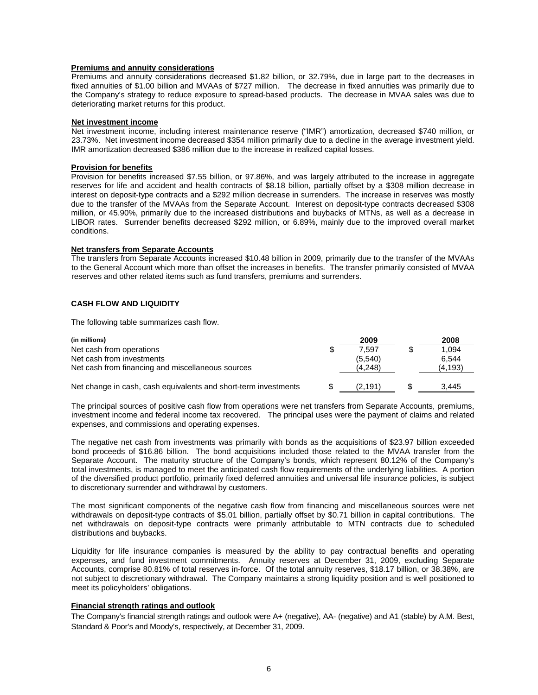# **Premiums and annuity considerations**

Premiums and annuity considerations decreased \$1.82 billion, or 32.79%, due in large part to the decreases in fixed annuities of \$1.00 billion and MVAAs of \$727 million. The decrease in fixed annuities was primarily due to the Company's strategy to reduce exposure to spread-based products. The decrease in MVAA sales was due to deteriorating market returns for this product.

#### **Net investment income**

Net investment income, including interest maintenance reserve ("IMR") amortization, decreased \$740 million, or 23.73%. Net investment income decreased \$354 million primarily due to a decline in the average investment yield. IMR amortization decreased \$386 million due to the increase in realized capital losses.

#### **Provision for benefits**

Provision for benefits increased \$7.55 billion, or 97.86%, and was largely attributed to the increase in aggregate reserves for life and accident and health contracts of \$8.18 billion, partially offset by a \$308 million decrease in interest on deposit-type contracts and a \$292 million decrease in surrenders. The increase in reserves was mostly due to the transfer of the MVAAs from the Separate Account. Interest on deposit-type contracts decreased \$308 million, or 45.90%, primarily due to the increased distributions and buybacks of MTNs, as well as a decrease in LIBOR rates. Surrender benefits decreased \$292 million, or 6.89%, mainly due to the improved overall market conditions.

#### **Net transfers from Separate Accounts**

The transfers from Separate Accounts increased \$10.48 billion in 2009, primarily due to the transfer of the MVAAs to the General Account which more than offset the increases in benefits. The transfer primarily consisted of MVAA reserves and other related items such as fund transfers, premiums and surrenders.

# **CASH FLOW AND LIQUIDITY**

The following table summarizes cash flow.

| (in millions)                                                                  | 2009               | 2008             |
|--------------------------------------------------------------------------------|--------------------|------------------|
| Net cash from operations                                                       | \$<br>7.597        | 1.094            |
| Net cash from investments<br>Net cash from financing and miscellaneous sources | (5.540)<br>(4.248) | 6.544<br>(4,193) |
| Net change in cash, cash equivalents and short-term investments                | (2, 191)           | 3.445            |

The principal sources of positive cash flow from operations were net transfers from Separate Accounts, premiums, investment income and federal income tax recovered. The principal uses were the payment of claims and related expenses, and commissions and operating expenses.

The negative net cash from investments was primarily with bonds as the acquisitions of \$23.97 billion exceeded bond proceeds of \$16.86 billion. The bond acquisitions included those related to the MVAA transfer from the Separate Account. The maturity structure of the Company's bonds, which represent 80.12% of the Company's total investments, is managed to meet the anticipated cash flow requirements of the underlying liabilities. A portion of the diversified product portfolio, primarily fixed deferred annuities and universal life insurance policies, is subject to discretionary surrender and withdrawal by customers.

The most significant components of the negative cash flow from financing and miscellaneous sources were net withdrawals on deposit-type contracts of \$5.01 billion, partially offset by \$0.71 billion in capital contributions. The net withdrawals on deposit-type contracts were primarily attributable to MTN contracts due to scheduled distributions and buybacks.

Liquidity for life insurance companies is measured by the ability to pay contractual benefits and operating expenses, and fund investment commitments. Annuity reserves at December 31, 2009, excluding Separate Accounts, comprise 80.81% of total reserves in-force. Of the total annuity reserves, \$18.17 billion, or 38.38%, are not subject to discretionary withdrawal. The Company maintains a strong liquidity position and is well positioned to meet its policyholders' obligations.

## **Financial strength ratings and outlook**

The Company's financial strength ratings and outlook were A+ (negative), AA- (negative) and A1 (stable) by A.M. Best, Standard & Poor's and Moody's, respectively, at December 31, 2009.